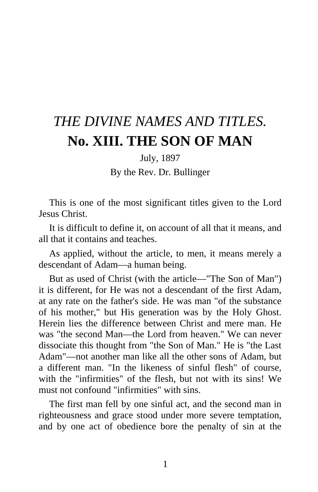## *THE DIVINE NAMES AND TITLES.*  **No. XIII. THE SON OF MAN**

July, 1897

By the Rev. Dr. Bullinger

This is one of the most significant titles given to the Lord Jesus Christ.

It is difficult to define it, on account of all that it means, and all that it contains and teaches.

As applied, without the article, to men, it means merely a descendant of Adam—a human being.

But as used of Christ (with the article—"The Son of Man") it is different, for He was not a descendant of the first Adam, at any rate on the father's side. He was man "of the substance of his mother," but His generation was by the Holy Ghost. Herein lies the difference between Christ and mere man. He was "the second Man—the Lord from heaven." We can never dissociate this thought from "the Son of Man." He is "the Last Adam"—not another man like all the other sons of Adam, but a different man. "In the likeness of sinful flesh" of course, with the "infirmities" of the flesh, but not with its sins! We must not confound "infirmities" with sins.

The first man fell by one sinful act, and the second man in righteousness and grace stood under more severe temptation, and by one act of obedience bore the penalty of sin at the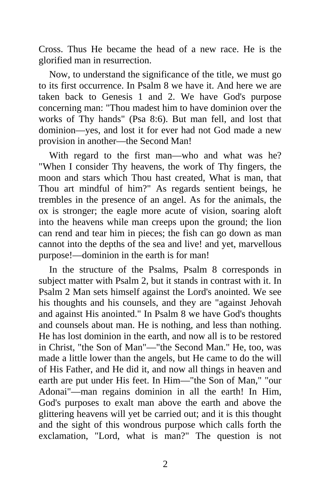Cross. Thus He became the head of a new race. He is the glorified man in resurrection.

Now, to understand the significance of the title, we must go to its first occurrence. In Psalm 8 we have it. And here we are taken back to Genesis 1 and 2. We have God's purpose concerning man: "Thou madest him to have dominion over the works of Thy hands" (Psa 8:6). But man fell, and lost that dominion—yes, and lost it for ever had not God made a new provision in another—the Second Man!

With regard to the first man—who and what was he? "When I consider Thy heavens, the work of Thy fingers, the moon and stars which Thou hast created, What is man, that Thou art mindful of him?" As regards sentient beings, he trembles in the presence of an angel. As for the animals, the ox is stronger; the eagle more acute of vision, soaring aloft into the heavens while man creeps upon the ground; the lion can rend and tear him in pieces; the fish can go down as man cannot into the depths of the sea and live! and yet, marvellous purpose!—dominion in the earth is for man!

In the structure of the Psalms, Psalm 8 corresponds in subject matter with Psalm 2, but it stands in contrast with it. In Psalm 2 Man sets himself against the Lord's anointed. We see his thoughts and his counsels, and they are "against Jehovah and against His anointed." In Psalm 8 we have God's thoughts and counsels about man. He is nothing, and less than nothing. He has lost dominion in the earth, and now all is to be restored in Christ, "the Son of Man"—"the Second Man." He, too, was made a little lower than the angels, but He came to do the will of His Father, and He did it, and now all things in heaven and earth are put under His feet. In Him—"the Son of Man," "our Adonai"—man regains dominion in all the earth! In Him, God's purposes to exalt man above the earth and above the glittering heavens will yet be carried out; and it is this thought and the sight of this wondrous purpose which calls forth the exclamation, "Lord, what is man?" The question is not

2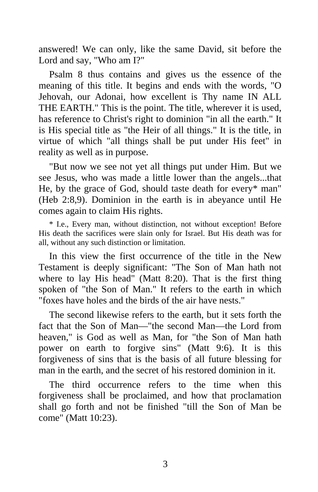answered! We can only, like the same David, sit before the Lord and say, "Who am I?"

Psalm 8 thus contains and gives us the essence of the meaning of this title. It begins and ends with the words, "O Jehovah, our Adonai, how excellent is Thy name IN ALL THE EARTH." This is the point. The title, wherever it is used, has reference to Christ's right to dominion "in all the earth." It is His special title as "the Heir of all things." It is the title, in virtue of which "all things shall be put under His feet" in reality as well as in purpose.

"But now we see not yet all things put under Him. But we see Jesus, who was made a little lower than the angels...that He, by the grace of God, should taste death for every\* man" (Heb 2:8,9). Dominion in the earth is in abeyance until He comes again to claim His rights.

\* I.e., Every man, without distinction, not without exception! Before His death the sacrifices were slain only for Israel. But His death was for all, without any such distinction or limitation.

In this view the first occurrence of the title in the New Testament is deeply significant: "The Son of Man hath not where to lay His head" (Matt 8:20). That is the first thing spoken of "the Son of Man." It refers to the earth in which "foxes have holes and the birds of the air have nests."

The second likewise refers to the earth, but it sets forth the fact that the Son of Man—"the second Man—the Lord from heaven," is God as well as Man, for "the Son of Man hath power on earth to forgive sins" (Matt 9:6). It is this forgiveness of sins that is the basis of all future blessing for man in the earth, and the secret of his restored dominion in it.

The third occurrence refers to the time when this forgiveness shall be proclaimed, and how that proclamation shall go forth and not be finished "till the Son of Man be come" (Matt 10:23).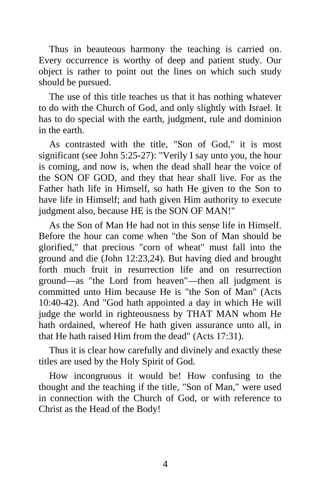Thus in beauteous harmony the teaching is carried on. Every occurrence is worthy of deep and patient study. Our object is rather to point out the lines on which such study should be pursued.

The use of this title teaches us that it has nothing whatever to do with the Church of God, and only slightly with Israel. It has to do special with the earth, judgment, rule and dominion in the earth.

As contrasted with the title, "Son of God," it is most significant (see John 5:25-27): "Verily I say unto you, the hour is coming, and now is, when the dead shall hear the voice of the SON OF GOD, and they that hear shall live. For as the Father hath life in Himself, so hath He given to the Son to have life in Himself; and hath given Him authority to execute judgment also, because HE is the SON OF MAN!"

As the Son of Man He had not in this sense life in Himself. Before the hour can come when "the Son of Man should be glorified," that precious "corn of wheat" must fall into the ground and die (John 12:23,24). But having died and brought forth much fruit in resurrection life and on resurrection ground—as "the Lord from heaven"—then all judgment is committed unto Him because He is "the Son of Man" (Acts 10:40-42). And "God hath appointed a day in which He will judge the world in righteousness by THAT MAN whom He hath ordained, whereof He hath given assurance unto all, in that He hath raised Him from the dead" (Acts 17:31).

Thus it is clear how carefully and divinely and exactly these titles are used by the Holy Spirit of God.

How incongruous it would be! How confusing to the thought and the teaching if the title, "Son of Man," were used in connection with the Church of God, or with reference to Christ as the Head of the Body!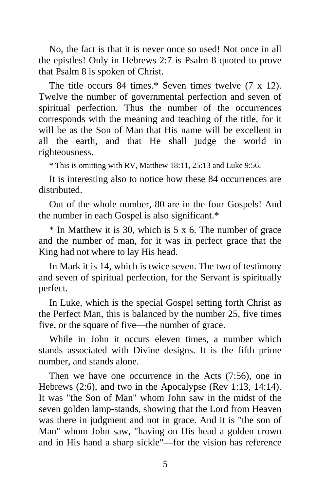No, the fact is that it is never once so used! Not once in all the epistles! Only in Hebrews 2:7 is Psalm 8 quoted to prove that Psalm 8 is spoken of Christ.

The title occurs 84 times.\* Seven times twelve (7 x 12). Twelve the number of governmental perfection and seven of spiritual perfection. Thus the number of the occurrences corresponds with the meaning and teaching of the title, for it will be as the Son of Man that His name will be excellent in all the earth, and that He shall judge the world in righteousness.

\* This is omitting with RV, Matthew 18:11, 25:13 and Luke 9:56.

It is interesting also to notice how these 84 occurrences are distributed.

Out of the whole number, 80 are in the four Gospels! And the number in each Gospel is also significant.\*

 $*$  In Matthew it is 30, which is 5 x 6. The number of grace and the number of man, for it was in perfect grace that the King had not where to lay His head.

In Mark it is 14, which is twice seven. The two of testimony and seven of spiritual perfection, for the Servant is spiritually perfect.

In Luke, which is the special Gospel setting forth Christ as the Perfect Man, this is balanced by the number 25, five times five, or the square of five—the number of grace.

While in John it occurs eleven times, a number which stands associated with Divine designs. It is the fifth prime number, and stands alone.

Then we have one occurrence in the Acts (7:56), one in Hebrews (2:6), and two in the Apocalypse (Rev 1:13, 14:14). It was "the Son of Man" whom John saw in the midst of the seven golden lamp-stands, showing that the Lord from Heaven was there in judgment and not in grace. And it is "the son of Man" whom John saw, "having on His head a golden crown and in His hand a sharp sickle"—for the vision has reference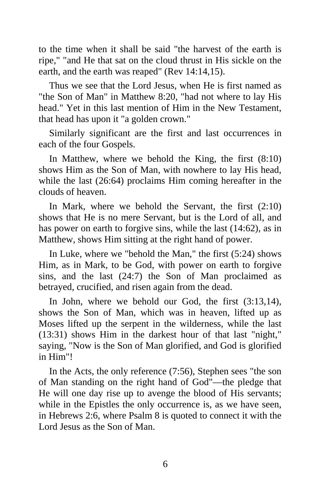to the time when it shall be said "the harvest of the earth is ripe," "and He that sat on the cloud thrust in His sickle on the earth, and the earth was reaped" (Rev 14:14,15).

Thus we see that the Lord Jesus, when He is first named as "the Son of Man" in Matthew 8:20, "had not where to lay His head." Yet in this last mention of Him in the New Testament, that head has upon it "a golden crown."

Similarly significant are the first and last occurrences in each of the four Gospels.

In Matthew, where we behold the King, the first (8:10) shows Him as the Son of Man, with nowhere to lay His head, while the last (26:64) proclaims Him coming hereafter in the clouds of heaven.

In Mark, where we behold the Servant, the first (2:10) shows that He is no mere Servant, but is the Lord of all, and has power on earth to forgive sins, while the last (14:62), as in Matthew, shows Him sitting at the right hand of power.

In Luke, where we "behold the Man," the first (5:24) shows Him, as in Mark, to be God, with power on earth to forgive sins, and the last (24:7) the Son of Man proclaimed as betrayed, crucified, and risen again from the dead.

In John, where we behold our God, the first (3:13,14), shows the Son of Man, which was in heaven, lifted up as Moses lifted up the serpent in the wilderness, while the last (13:31) shows Him in the darkest hour of that last "night," saying, "Now is the Son of Man glorified, and God is glorified in Him"!

In the Acts, the only reference (7:56), Stephen sees "the son of Man standing on the right hand of God"—the pledge that He will one day rise up to avenge the blood of His servants; while in the Epistles the only occurrence is, as we have seen, in Hebrews 2:6, where Psalm 8 is quoted to connect it with the Lord Jesus as the Son of Man.